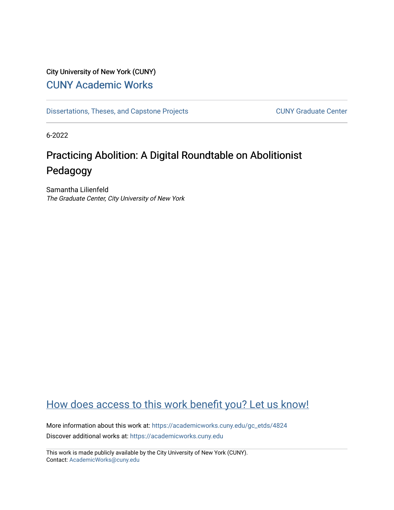## City University of New York (CUNY) [CUNY Academic Works](https://academicworks.cuny.edu/)

[Dissertations, Theses, and Capstone Projects](https://academicworks.cuny.edu/gc_etds) CUNY Graduate Center

6-2022

# Practicing Abolition: A Digital Roundtable on Abolitionist Pedagogy

Samantha Lilienfeld The Graduate Center, City University of New York

# [How does access to this work benefit you? Let us know!](http://ols.cuny.edu/academicworks/?ref=https://academicworks.cuny.edu/gc_etds/4824)

More information about this work at: [https://academicworks.cuny.edu/gc\\_etds/4824](https://academicworks.cuny.edu/gc_etds/4824) Discover additional works at: [https://academicworks.cuny.edu](https://academicworks.cuny.edu/?)

This work is made publicly available by the City University of New York (CUNY). Contact: [AcademicWorks@cuny.edu](mailto:AcademicWorks@cuny.edu)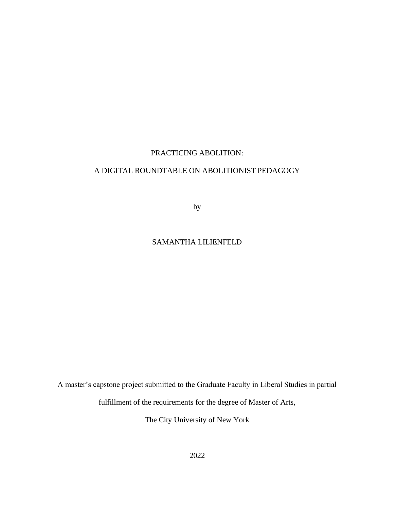### PRACTICING ABOLITION:

### A DIGITAL ROUNDTABLE ON ABOLITIONIST PEDAGOGY

by

### SAMANTHA LILIENFELD

A master's capstone project submitted to the Graduate Faculty in Liberal Studies in partial

fulfillment of the requirements for the degree of Master of Arts,

The City University of New York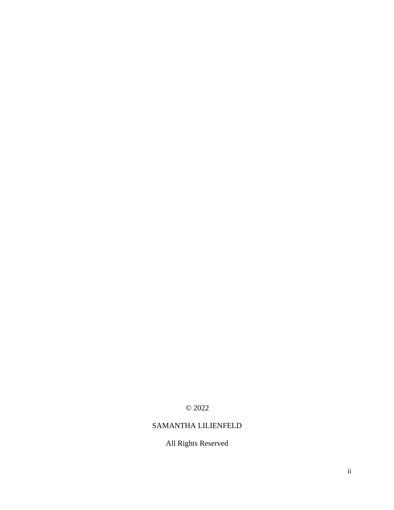© 2022

### SAMANTHA LILIENFELD

All Rights Reserved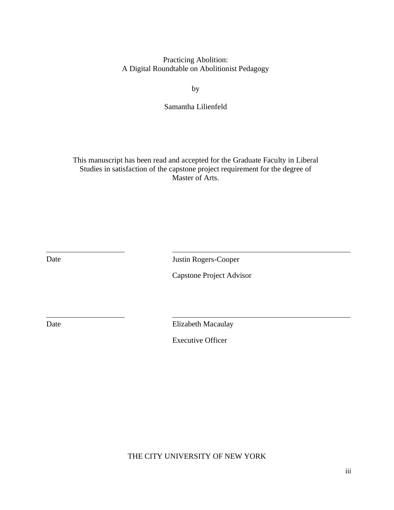Practicing Abolition: A Digital Roundtable on Abolitionist Pedagogy

by

Samantha Lilienfeld

This manuscript has been read and accepted for the Graduate Faculty in Liberal Studies in satisfaction of the capstone project requirement for the degree of Master of Arts.

Date Justin Rogers-Cooper

Capstone Project Advisor

Date Elizabeth Macaulay

Executive Officer

THE CITY UNIVERSITY OF NEW YORK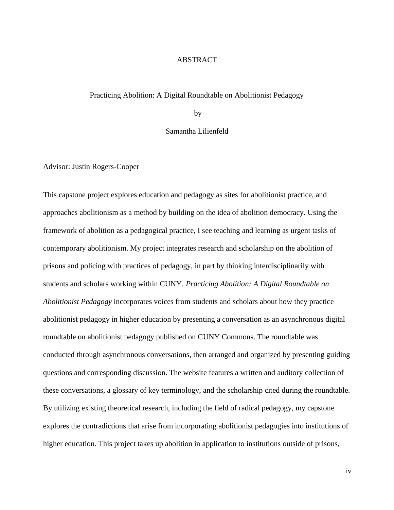#### ABSTRACT

#### Practicing Abolition: A Digital Roundtable on Abolitionist Pedagogy

by

Samantha Lilienfeld

Advisor: Justin Rogers-Cooper

This capstone project explores education and pedagogy as sites for abolitionist practice, and approaches abolitionism as a method by building on the idea of abolition democracy. Using the framework of abolition as a pedagogical practice, I see teaching and learning as urgent tasks of contemporary abolitionism. My project integrates research and scholarship on the abolition of prisons and policing with practices of pedagogy, in part by thinking interdisciplinarily with students and scholars working within CUNY. *Practicing Abolition: A Digital Roundtable on Abolitionist Pedagogy* incorporates voices from students and scholars about how they practice abolitionist pedagogy in higher education by presenting a conversation as an asynchronous digital roundtable on abolitionist pedagogy published on CUNY Commons. The roundtable was conducted through asynchronous conversations, then arranged and organized by presenting guiding questions and corresponding discussion. The website features a written and auditory collection of these conversations, a glossary of key terminology, and the scholarship cited during the roundtable. By utilizing existing theoretical research, including the field of radical pedagogy, my capstone explores the contradictions that arise from incorporating abolitionist pedagogies into institutions of higher education. This project takes up abolition in application to institutions outside of prisons,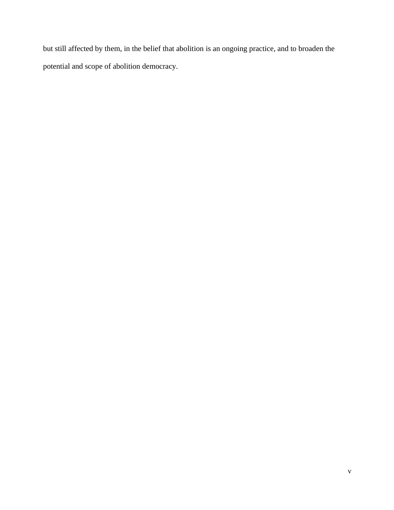but still affected by them, in the belief that abolition is an ongoing practice, and to broaden the potential and scope of abolition democracy.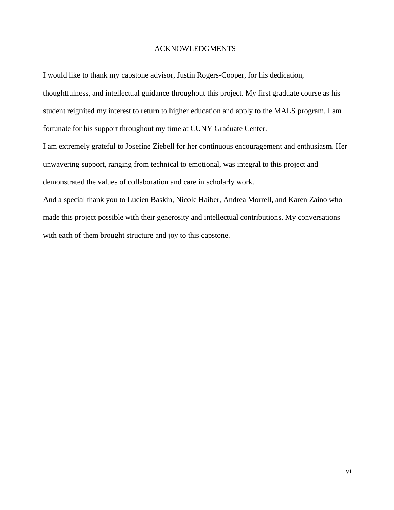#### ACKNOWLEDGMENTS

I would like to thank my capstone advisor, Justin Rogers-Cooper, for his dedication,

thoughtfulness, and intellectual guidance throughout this project. My first graduate course as his student reignited my interest to return to higher education and apply to the MALS program. I am fortunate for his support throughout my time at CUNY Graduate Center.

I am extremely grateful to Josefine Ziebell for her continuous encouragement and enthusiasm. Her unwavering support, ranging from technical to emotional, was integral to this project and demonstrated the values of collaboration and care in scholarly work.

And a special thank you to Lucien Baskin, Nicole Haiber, Andrea Morrell, and Karen Zaino who made this project possible with their generosity and intellectual contributions. My conversations with each of them brought structure and joy to this capstone.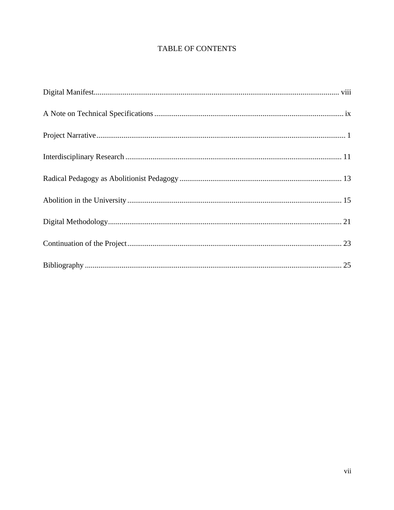### TABLE OF CONTENTS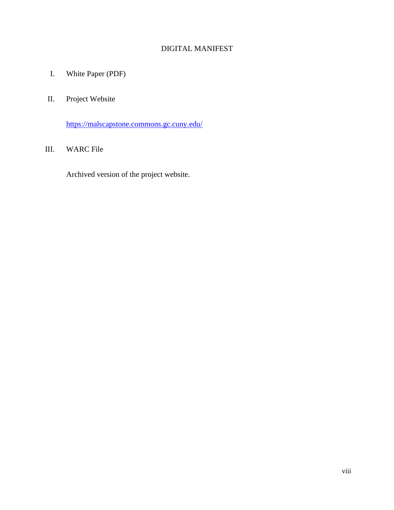### DIGITAL MANIFEST

I. White Paper (PDF)

### II. Project Website

<https://malscapstone.commons.gc.cuny.edu/>

### III. WARC File

Archived version of the project website.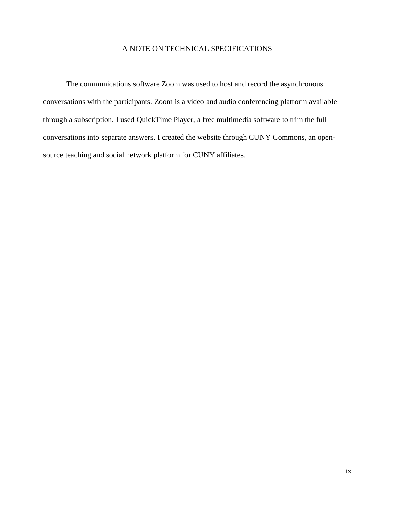### A NOTE ON TECHNICAL SPECIFICATIONS

The communications software Zoom was used to host and record the asynchronous conversations with the participants. Zoom is a video and audio conferencing platform available through a subscription. I used QuickTime Player, a free multimedia software to trim the full conversations into separate answers. I created the website through CUNY Commons, an opensource teaching and social network platform for CUNY affiliates.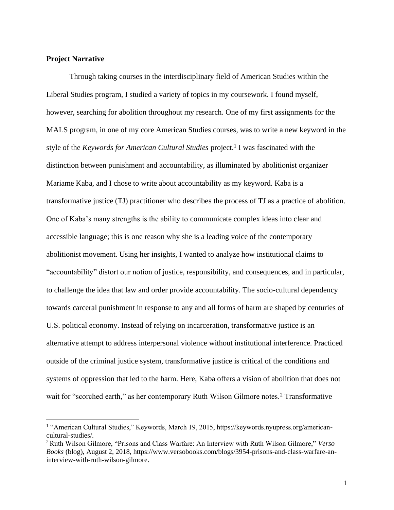### **Project Narrative**

Through taking courses in the interdisciplinary field of American Studies within the Liberal Studies program, I studied a variety of topics in my coursework. I found myself, however, searching for abolition throughout my research. One of my first assignments for the MALS program, in one of my core American Studies courses, was to write a new keyword in the style of the *Keywords for American Cultural Studies* project.<sup>1</sup> I was fascinated with the distinction between punishment and accountability, as illuminated by abolitionist organizer Mariame Kaba, and I chose to write about accountability as my keyword. Kaba is a transformative justice (TJ) practitioner who describes the process of TJ as a practice of abolition. One of Kaba's many strengths is the ability to communicate complex ideas into clear and accessible language; this is one reason why she is a leading voice of the contemporary abolitionist movement. Using her insights, I wanted to analyze how institutional claims to "accountability" distort our notion of justice, responsibility, and consequences, and in particular, to challenge the idea that law and order provide accountability. The socio-cultural dependency towards carceral punishment in response to any and all forms of harm are shaped by centuries of U.S. political economy. Instead of relying on incarceration, transformative justice is an alternative attempt to address interpersonal violence without institutional interference. Practiced outside of the criminal justice system, transformative justice is critical of the conditions and systems of oppression that led to the harm. Here, Kaba offers a vision of abolition that does not wait for "scorched earth," as her contemporary Ruth Wilson Gilmore notes.<sup>2</sup> Transformative

<sup>&</sup>lt;sup>1</sup> "American Cultural Studies," Keywords, March 19, 2015, https://keywords.nyupress.org/americancultural-studies/.

<sup>2</sup>Ruth Wilson Gilmore, "Prisons and Class Warfare: An Interview with Ruth Wilson Gilmore," *Verso Books* (blog), August 2, 2018, https://www.versobooks.com/blogs/3954-prisons-and-class-warfare-aninterview-with-ruth-wilson-gilmore.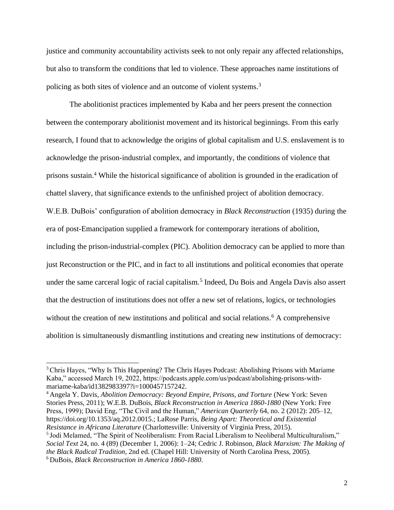justice and community accountability activists seek to not only repair any affected relationships, but also to transform the conditions that led to violence. These approaches name institutions of policing as both sites of violence and an outcome of violent systems.<sup>3</sup>

The abolitionist practices implemented by Kaba and her peers present the connection between the contemporary abolitionist movement and its historical beginnings. From this early research, I found that to acknowledge the origins of global capitalism and U.S. enslavement is to acknowledge the prison-industrial complex, and importantly, the conditions of violence that prisons sustain.<sup>4</sup> While the historical significance of abolition is grounded in the eradication of chattel slavery, that significance extends to the unfinished project of abolition democracy. W.E.B. DuBois' configuration of abolition democracy in *Black Reconstruction* (1935) during the era of post-Emancipation supplied a framework for contemporary iterations of abolition, including the prison-industrial-complex (PIC). Abolition democracy can be applied to more than just Reconstruction or the PIC, and in fact to all institutions and political economies that operate under the same carceral logic of racial capitalism.<sup>5</sup> Indeed, Du Bois and Angela Davis also assert that the destruction of institutions does not offer a new set of relations, logics, or technologies without the creation of new institutions and political and social relations.<sup>6</sup> A comprehensive abolition is simultaneously dismantling institutions and creating new institutions of democracy:

<sup>4</sup> Angela Y. Davis, *Abolition Democracy: Beyond Empire, Prisons, and Torture* (New York: Seven Stories Press, 2011); W.E.B. DuBois, *Black Reconstruction in America 1860-1880* (New York: Free Press, 1999); David Eng, "The Civil and the Human," *American Quarterly* 64, no. 2 (2012): 205–12, https://doi.org/10.1353/aq.2012.0015.; LaRose Parris, *Being Apart: Theoretical and Existential Resistance in Africana Literature* (Charlottesville: University of Virginia Press, 2015). <sup>5</sup> Jodi Melamed, "The Spirit of Neoliberalism: From Racial Liberalism to Neoliberal Multiculturalism," *Social Text* 24, no. 4 (89) (December 1, 2006): 1–24; Cedric J. Robinson, *Black Marxism: The Making of the Black Radical Tradition*, 2nd ed. (Chapel Hill: University of North Carolina Press, 2005).

<sup>3</sup>Chris Hayes, "Why Is This Happening? The Chris Hayes Podcast: Abolishing Prisons with Mariame Kaba," accessed March 19, 2022, https://podcasts.apple.com/us/podcast/abolishing-prisons-withmariame-kaba/id1382983397?i=1000457157242.

<sup>6</sup> DuBois, *Black Reconstruction in America 1860-1880*.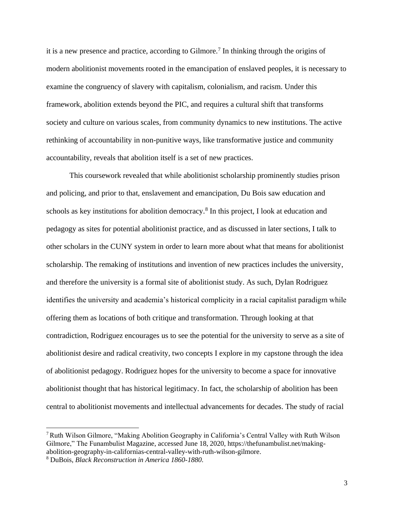it is a new presence and practice, according to Gilmore.<sup>7</sup> In thinking through the origins of modern abolitionist movements rooted in the emancipation of enslaved peoples, it is necessary to examine the congruency of slavery with capitalism, colonialism, and racism. Under this framework, abolition extends beyond the PIC, and requires a cultural shift that transforms society and culture on various scales, from community dynamics to new institutions. The active rethinking of accountability in non-punitive ways, like transformative justice and community accountability, reveals that abolition itself is a set of new practices.

This coursework revealed that while abolitionist scholarship prominently studies prison and policing, and prior to that, enslavement and emancipation, Du Bois saw education and schools as key institutions for abolition democracy.<sup>8</sup> In this project, I look at education and pedagogy as sites for potential abolitionist practice, and as discussed in later sections, I talk to other scholars in the CUNY system in order to learn more about what that means for abolitionist scholarship. The remaking of institutions and invention of new practices includes the university, and therefore the university is a formal site of abolitionist study. As such, Dylan Rodriguez identifies the university and academia's historical complicity in a racial capitalist paradigm while offering them as locations of both critique and transformation. Through looking at that contradiction, Rodriguez encourages us to see the potential for the university to serve as a site of abolitionist desire and radical creativity, two concepts I explore in my capstone through the idea of abolitionist pedagogy. Rodriguez hopes for the university to become a space for innovative abolitionist thought that has historical legitimacy. In fact, the scholarship of abolition has been central to abolitionist movements and intellectual advancements for decades. The study of racial

<sup>7</sup>Ruth Wilson Gilmore, "Making Abolition Geography in California's Central Valley with Ruth Wilson Gilmore," The Funambulist Magazine, accessed June 18, 2020, https://thefunambulist.net/makingabolition-geography-in-californias-central-valley-with-ruth-wilson-gilmore.

<sup>8</sup> DuBois, *Black Reconstruction in America 1860-1880*.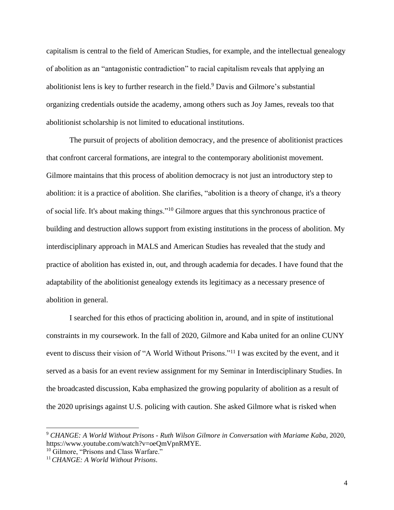capitalism is central to the field of American Studies, for example, and the intellectual genealogy of abolition as an "antagonistic contradiction" to racial capitalism reveals that applying an abolitionist lens is key to further research in the field.<sup>9</sup> Davis and Gilmore's substantial organizing credentials outside the academy, among others such as Joy James, reveals too that abolitionist scholarship is not limited to educational institutions.

The pursuit of projects of abolition democracy, and the presence of abolitionist practices that confront carceral formations, are integral to the contemporary abolitionist movement. Gilmore maintains that this process of abolition democracy is not just an introductory step to abolition: it is a practice of abolition. She clarifies, "abolition is a theory of change, it's a theory of social life. It's about making things."<sup>10</sup> Gilmore argues that this synchronous practice of building and destruction allows support from existing institutions in the process of abolition. My interdisciplinary approach in MALS and American Studies has revealed that the study and practice of abolition has existed in, out, and through academia for decades. I have found that the adaptability of the abolitionist genealogy extends its legitimacy as a necessary presence of abolition in general.

I searched for this ethos of practicing abolition in, around, and in spite of institutional constraints in my coursework. In the fall of 2020, Gilmore and Kaba united for an online CUNY event to discuss their vision of "A World Without Prisons."<sup>11</sup> I was excited by the event, and it served as a basis for an event review assignment for my Seminar in Interdisciplinary Studies. In the broadcasted discussion, Kaba emphasized the growing popularity of abolition as a result of the 2020 uprisings against U.S. policing with caution. She asked Gilmore what is risked when

<sup>9</sup> *CHANGE: A World Without Prisons - Ruth Wilson Gilmore in Conversation with Mariame Kaba*, 2020, https://www.youtube.com/watch?v=oeQmVpnRMYE.

<sup>&</sup>lt;sup>10</sup> Gilmore, "Prisons and Class Warfare."

<sup>11</sup>*CHANGE: A World Without Prisons*.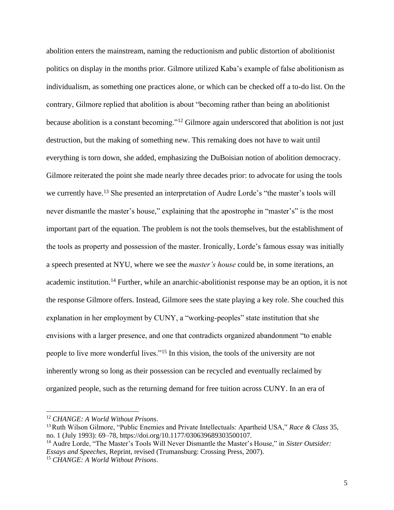abolition enters the mainstream, naming the reductionism and public distortion of abolitionist politics on display in the months prior. Gilmore utilized Kaba's example of false abolitionism as individualism, as something one practices alone, or which can be checked off a to-do list. On the contrary, Gilmore replied that abolition is about "becoming rather than being an abolitionist because abolition is a constant becoming."<sup>12</sup> Gilmore again underscored that abolition is not just destruction, but the making of something new. This remaking does not have to wait until everything is torn down, she added, emphasizing the DuBoisian notion of abolition democracy. Gilmore reiterated the point she made nearly three decades prior: to advocate for using the tools we currently have.<sup>13</sup> She presented an interpretation of Audre Lorde's "the master's tools will never dismantle the master's house," explaining that the apostrophe in "master's" is the most important part of the equation. The problem is not the tools themselves, but the establishment of the tools as property and possession of the master. Ironically, Lorde's famous essay was initially a speech presented at NYU, where we see the *master's house* could be, in some iterations, an academic institution.<sup>14</sup> Further, while an anarchic-abolitionist response may be an option, it is not the response Gilmore offers. Instead, Gilmore sees the state playing a key role. She couched this explanation in her employment by CUNY, a "working-peoples" state institution that she envisions with a larger presence, and one that contradicts organized abandonment "to enable people to live more wonderful lives."<sup>15</sup> In this vision, the tools of the university are not inherently wrong so long as their possession can be recycled and eventually reclaimed by organized people, such as the returning demand for free tuition across CUNY. In an era of

<sup>12</sup> *CHANGE: A World Without Prisons*.

<sup>13</sup>Ruth Wilson Gilmore, "Public Enemies and Private Intellectuals: Apartheid USA," *Race & Class* 35, no. 1 (July 1993): 69–78, https://doi.org/10.1177/030639689303500107.

<sup>14</sup> Audre Lorde, "The Master's Tools Will Never Dismantle the Master's House," in *Sister Outsider: Essays and Speeches*, Reprint, revised (Trumansburg: Crossing Press, 2007). <sup>15</sup> *CHANGE: A World Without Prisons*.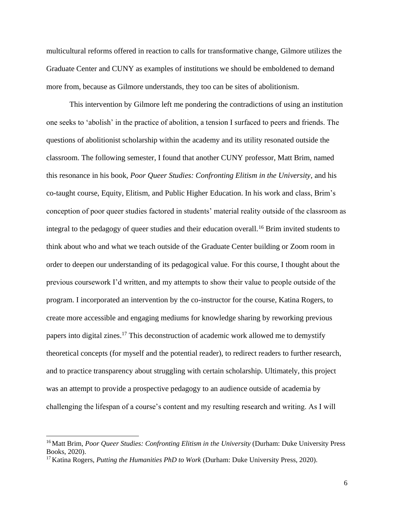multicultural reforms offered in reaction to calls for transformative change, Gilmore utilizes the Graduate Center and CUNY as examples of institutions we should be emboldened to demand more from, because as Gilmore understands, they too can be sites of abolitionism.

This intervention by Gilmore left me pondering the contradictions of using an institution one seeks to 'abolish' in the practice of abolition, a tension I surfaced to peers and friends. The questions of abolitionist scholarship within the academy and its utility resonated outside the classroom. The following semester, I found that another CUNY professor, Matt Brim, named this resonance in his book, *Poor Queer Studies: Confronting Elitism in the University*, and his co-taught course, Equity, Elitism, and Public Higher Education. In his work and class, Brim's conception of poor queer studies factored in students' material reality outside of the classroom as integral to the pedagogy of queer studies and their education overall.<sup>16</sup> Brim invited students to think about who and what we teach outside of the Graduate Center building or Zoom room in order to deepen our understanding of its pedagogical value. For this course, I thought about the previous coursework I'd written, and my attempts to show their value to people outside of the program. I incorporated an intervention by the co-instructor for the course, Katina Rogers, to create more accessible and engaging mediums for knowledge sharing by reworking previous papers into digital zines.<sup>17</sup> This deconstruction of academic work allowed me to demystify theoretical concepts (for myself and the potential reader), to redirect readers to further research, and to practice transparency about struggling with certain scholarship. Ultimately, this project was an attempt to provide a prospective pedagogy to an audience outside of academia by challenging the lifespan of a course's content and my resulting research and writing. As I will

<sup>16</sup> Matt Brim, *Poor Queer Studies: Confronting Elitism in the University* (Durham: Duke University Press Books, 2020).

<sup>17</sup> Katina Rogers, *Putting the Humanities PhD to Work* (Durham: Duke University Press, 2020).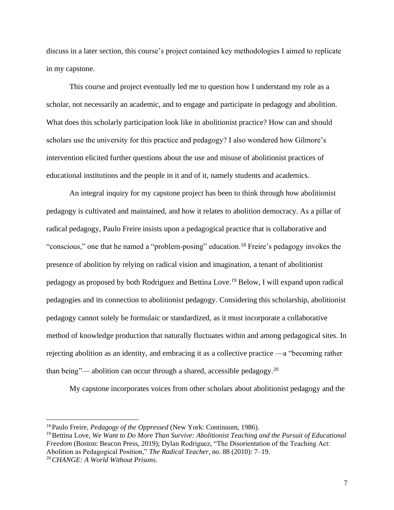discuss in a later section, this course's project contained key methodologies I aimed to replicate in my capstone.

This course and project eventually led me to question how I understand my role as a scholar, not necessarily an academic, and to engage and participate in pedagogy and abolition. What does this scholarly participation look like in abolitionist practice? How can and should scholars use the university for this practice and pedagogy? I also wondered how Gilmore's intervention elicited further questions about the use and misuse of abolitionist practices of educational institutions and the people in it and of it, namely students and academics.

An integral inquiry for my capstone project has been to think through how abolitionist pedagogy is cultivated and maintained, and how it relates to abolition democracy. As a pillar of radical pedagogy, Paulo Freire insists upon a pedagogical practice that is collaborative and "conscious," one that he named a "problem-posing" education.<sup>18</sup> Freire's pedagogy invokes the presence of abolition by relying on radical vision and imagination, a tenant of abolitionist pedagogy as proposed by both Rodriguez and Bettina Love.<sup>19</sup> Below, I will expand upon radical pedagogies and its connection to abolitionist pedagogy. Considering this scholarship, abolitionist pedagogy cannot solely be formulaic or standardized, as it must incorporate a collaborative method of knowledge production that naturally fluctuates within and among pedagogical sites. In rejecting abolition as an identity, and embracing it as a collective practice —a "becoming rather than being"— abolition can occur through a shared, accessible pedagogy.<sup>20</sup>

My capstone incorporates voices from other scholars about abolitionist pedagogy and the

<sup>18</sup> Paulo Freire, *Pedagogy of the Oppressed* (New York: Continuum, 1986).

<sup>&</sup>lt;sup>19</sup> Bettina Love, *We Want to Do More Than Survive: Abolitionist Teaching and the Pursuit of Educational Freedom* (Boston: Beacon Press, 2019); Dylan Rodriguez, "The Disorientation of the Teaching Act: Abolition as Pedagogical Position," *The Radical Teacher*, no. 88 (2010): 7–19. 20*CHANGE: A World Without Prisons*.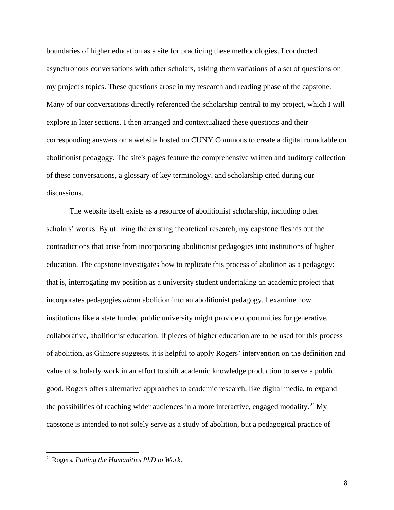boundaries of higher education as a site for practicing these methodologies. I conducted asynchronous conversations with other scholars, asking them variations of a set of questions on my project's topics. These questions arose in my research and reading phase of the capstone. Many of our conversations directly referenced the scholarship central to my project, which I will explore in later sections. I then arranged and contextualized these questions and their corresponding answers on a website hosted on CUNY Commons to create a digital roundtable on abolitionist pedagogy. The site's pages feature the comprehensive written and auditory collection of these conversations, a glossary of key terminology, and scholarship cited during our discussions.

The website itself exists as a resource of abolitionist scholarship, including other scholars' works. By utilizing the existing theoretical research, my capstone fleshes out the contradictions that arise from incorporating abolitionist pedagogies into institutions of higher education. The capstone investigates how to replicate this process of abolition as a pedagogy: that is, interrogating my position as a university student undertaking an academic project that incorporates pedagogies *about* abolition into an abolitionist pedagogy. I examine how institutions like a state funded public university might provide opportunities for generative, collaborative, abolitionist education. If pieces of higher education are to be used for this process of abolition, as Gilmore suggests, it is helpful to apply Rogers' intervention on the definition and value of scholarly work in an effort to shift academic knowledge production to serve a public good. Rogers offers alternative approaches to academic research, like digital media, to expand the possibilities of reaching wider audiences in a more interactive, engaged modality.<sup>21</sup> My capstone is intended to not solely serve as a study of abolition, but a pedagogical practice of

<sup>21</sup>Rogers, *Putting the Humanities PhD to Work*.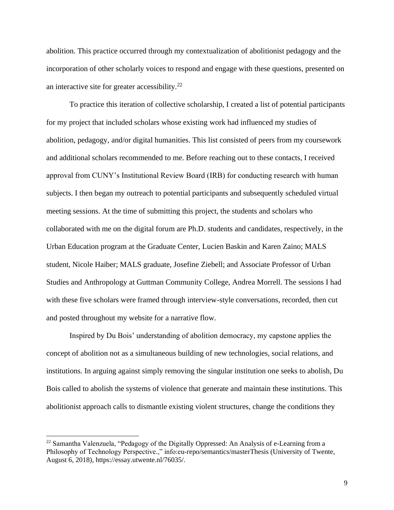abolition. This practice occurred through my contextualization of abolitionist pedagogy and the incorporation of other scholarly voices to respond and engage with these questions, presented on an interactive site for greater accessibility.<sup>22</sup>

To practice this iteration of collective scholarship, I created a list of potential participants for my project that included scholars whose existing work had influenced my studies of abolition, pedagogy, and/or digital humanities. This list consisted of peers from my coursework and additional scholars recommended to me. Before reaching out to these contacts, I received approval from CUNY's Institutional Review Board (IRB) for conducting research with human subjects. I then began my outreach to potential participants and subsequently scheduled virtual meeting sessions. At the time of submitting this project, the students and scholars who collaborated with me on the digital forum are Ph.D. students and candidates, respectively, in the Urban Education program at the Graduate Center, Lucien Baskin and Karen Zaino; MALS student, Nicole Haiber; MALS graduate, Josefine Ziebell; and Associate Professor of Urban Studies and Anthropology at Guttman Community College, Andrea Morrell. The sessions I had with these five scholars were framed through interview-style conversations, recorded, then cut and posted throughout my website for a narrative flow.

Inspired by Du Bois' understanding of abolition democracy, my capstone applies the concept of abolition not as a simultaneous building of new technologies, social relations, and institutions. In arguing against simply removing the singular institution one seeks to abolish, Du Bois called to abolish the systems of violence that generate and maintain these institutions. This abolitionist approach calls to dismantle existing violent structures, change the conditions they

 $^{22}$  Samantha Valenzuela, "Pedagogy of the Digitally Oppressed: An Analysis of e-Learning from a Philosophy of Technology Perspective.," info:eu-repo/semantics/masterThesis (University of Twente, August 6, 2018), https://essay.utwente.nl/76035/.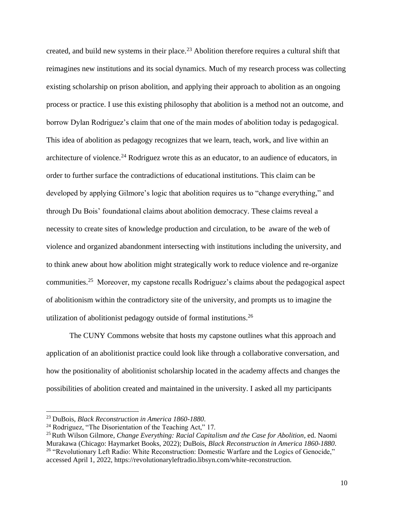created, and build new systems in their place.<sup>23</sup> Abolition therefore requires a cultural shift that reimagines new institutions and its social dynamics. Much of my research process was collecting existing scholarship on prison abolition, and applying their approach to abolition as an ongoing process or practice. I use this existing philosophy that abolition is a method not an outcome, and borrow Dylan Rodriguez's claim that one of the main modes of abolition today is pedagogical. This idea of abolition as pedagogy recognizes that we learn, teach, work, and live within an architecture of violence.<sup>24</sup> Rodriguez wrote this as an educator, to an audience of educators, in order to further surface the contradictions of educational institutions. This claim can be developed by applying Gilmore's logic that abolition requires us to "change everything," and through Du Bois' foundational claims about abolition democracy. These claims reveal a necessity to create sites of knowledge production and circulation, to be aware of the web of violence and organized abandonment intersecting with institutions including the university, and to think anew about how abolition might strategically work to reduce violence and re-organize communities.<sup>25</sup> Moreover, my capstone recalls Rodriguez's claims about the pedagogical aspect of abolitionism within the contradictory site of the university, and prompts us to imagine the utilization of abolitionist pedagogy outside of formal institutions.<sup>26</sup>

The CUNY Commons website that hosts my capstone outlines what this approach and application of an abolitionist practice could look like through a collaborative conversation, and how the positionality of abolitionist scholarship located in the academy affects and changes the possibilities of abolition created and maintained in the university. I asked all my participants

<sup>23</sup> DuBois, *Black Reconstruction in America 1860-1880*.

<sup>&</sup>lt;sup>24</sup> Rodriguez, "The Disorientation of the Teaching Act," 17.

<sup>25</sup>Ruth Wilson Gilmore, *Change Everything: Racial Capitalism and the Case for Abolition*, ed. Naomi Murakawa (Chicago: Haymarket Books, 2022); DuBois, *Black Reconstruction in America 1860-1880*. <sup>26</sup> "Revolutionary Left Radio: White Reconstruction: Domestic Warfare and the Logics of Genocide," accessed April 1, 2022, https://revolutionaryleftradio.libsyn.com/white-reconstruction.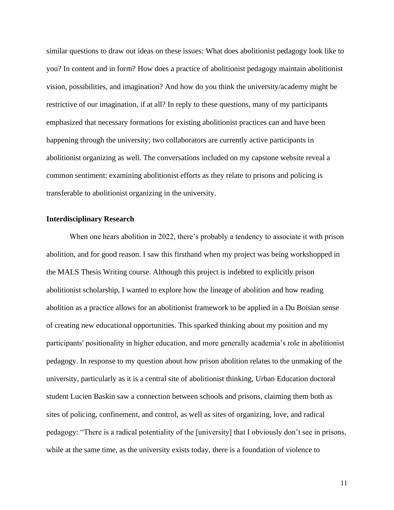similar questions to draw out ideas on these issues: What does abolitionist pedagogy look like to you? In content and in form? How does a practice of abolitionist pedagogy maintain abolitionist vision, possibilities, and imagination? And how do you think the university/academy might be restrictive of our imagination, if at all? In reply to these questions, many of my participants emphasized that necessary formations for existing abolitionist practices can and have been happening through the university; two collaborators are currently active participants in abolitionist organizing as well. The conversations included on my capstone website reveal a common sentiment: examining abolitionist efforts as they relate to prisons and policing is transferable to abolitionist organizing in the university.

#### **Interdisciplinary Research**

When one hears abolition in 2022, there's probably a tendency to associate it with prison abolition, and for good reason. I saw this firsthand when my project was being workshopped in the MALS Thesis Writing course. Although this project is indebted to explicitly prison abolitionist scholarship, I wanted to explore how the lineage of abolition and how reading abolition as a practice allows for an abolitionist framework to be applied in a Du Boisian sense of creating new educational opportunities. This sparked thinking about my position and my participants' positionality in higher education, and more generally academia's role in abolitionist pedagogy. In response to my question about how prison abolition relates to the unmaking of the university, particularly as it is a central site of abolitionist thinking, Urban Education doctoral student Lucien Baskin saw a connection between schools and prisons, claiming them both as sites of policing, confinement, and control, as well as sites of organizing, love, and radical pedagogy: "There is a radical potentiality of the [university] that I obviously don't see in prisons, while at the same time, as the university exists today, there is a foundation of violence to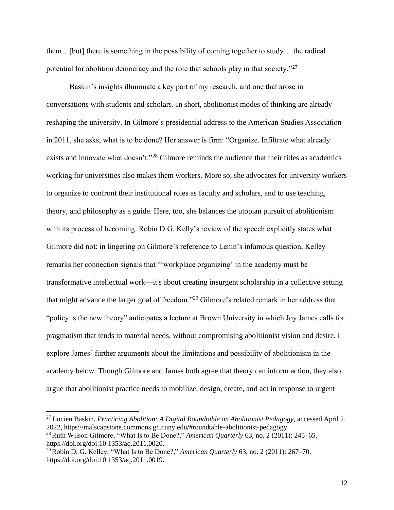them…[but] there is something in the possibility of coming together to study… the radical potential for abolition democracy and the role that schools play in that society."<sup>27</sup>

Baskin's insights illuminate a key part of my research, and one that arose in conversations with students and scholars. In short, abolitionist modes of thinking are already reshaping the university. In Gilmore's presidential address to the American Studies Association in 2011, she asks, what is to be done? Her answer is firm: "Organize. Infiltrate what already exists and innovate what doesn't."<sup>28</sup> Gilmore reminds the audience that their titles as academics working for universities also makes them workers. More so, she advocates for university workers to organize to confront their institutional roles as faculty and scholars, and to use teaching, theory, and philosophy as a guide. Here, too, she balances the utopian pursuit of abolitionism with its process of becoming. Robin D.G. Kelly's review of the speech explicitly states what Gilmore did not: in lingering on Gilmore's reference to Lenin's infamous question, Kelley remarks her connection signals that "'workplace organizing' in the academy must be transformative intellectual work—it's about creating insurgent scholarship in a collective setting that might advance the larger goal of freedom."<sup>29</sup> Gilmore's related remark in her address that "policy is the new theory" anticipates a lecture at Brown University in which Joy James calls for pragmatism that tends to material needs, without compromising abolitionist vision and desire. I explore James' further arguments about the limitations and possibility of abolitionism in the academy below. Though Gilmore and James both agree that theory can inform action, they also argue that abolitionist practice needs to mobilize, design, create, and act in response to urgent

<sup>27</sup> Lucien Baskin, *Practicing Abolition: A Digital Roundtable on Abolitionist Pedagogy*, accessed April 2, 2022, https://malscapstone.commons.gc.cuny.edu/#roundtable-abolitionist-pedagogy.

<sup>&</sup>lt;sup>28</sup>Ruth Wilson Gilmore, "What Is to Be Done?," *American Quarterly* 63, no. 2 (2011): 245–65, https://doi.org/doi:10.1353/aq.2011.0020.

<sup>29</sup>Robin D. G. Kelley, "What Is to Be Done?," *American Quarterly* 63, no. 2 (2011): 267–70, https://doi.org/doi:10.1353/aq.2011.0019.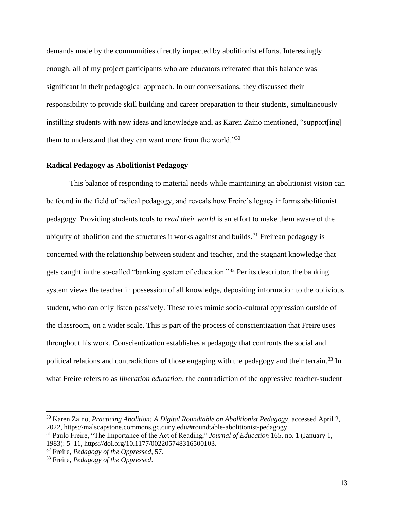demands made by the communities directly impacted by abolitionist efforts. Interestingly enough, all of my project participants who are educators reiterated that this balance was significant in their pedagogical approach. In our conversations, they discussed their responsibility to provide skill building and career preparation to their students, simultaneously instilling students with new ideas and knowledge and, as Karen Zaino mentioned, "support[ing] them to understand that they can want more from the world."30

#### **Radical Pedagogy as Abolitionist Pedagogy**

This balance of responding to material needs while maintaining an abolitionist vision can be found in the field of radical pedagogy, and reveals how Freire's legacy informs abolitionist pedagogy. Providing students tools to *read their world* is an effort to make them aware of the ubiquity of abolition and the structures it works against and builds.<sup>31</sup> Freirean pedagogy is concerned with the relationship between student and teacher, and the stagnant knowledge that gets caught in the so-called "banking system of education."<sup>32</sup> Per its descriptor, the banking system views the teacher in possession of all knowledge, depositing information to the oblivious student, who can only listen passively. These roles mimic socio-cultural oppression outside of the classroom, on a wider scale. This is part of the process of conscientization that Freire uses throughout his work. Conscientization establishes a pedagogy that confronts the social and political relations and contradictions of those engaging with the pedagogy and their terrain.<sup>33</sup> In what Freire refers to as *liberation education*, the contradiction of the oppressive teacher-student

<sup>30</sup> Karen Zaino, *Practicing Abolition: A Digital Roundtable on Abolitionist Pedagogy*, accessed April 2, 2022, https://malscapstone.commons.gc.cuny.edu/#roundtable-abolitionist-pedagogy.

<sup>31</sup> Paulo Freire, "The Importance of the Act of Reading," *Journal of Education* 165, no. 1 (January 1, 1983): 5–11, https://doi.org/10.1177/002205748316500103.

<sup>32</sup> Freire, *Pedagogy of the Oppressed*, 57.

<sup>33</sup> Freire, *Pedagogy of the Oppressed*.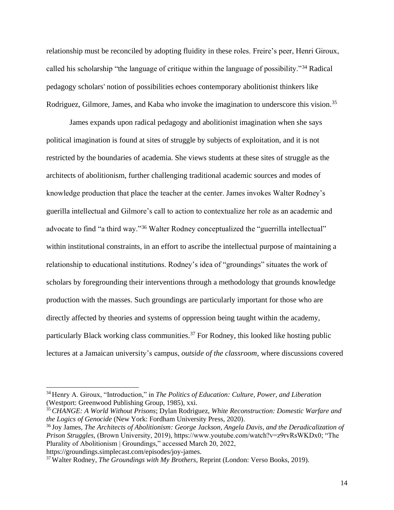relationship must be reconciled by adopting fluidity in these roles. Freire's peer, Henri Giroux, called his scholarship "the language of critique within the language of possibility."<sup>34</sup> Radical pedagogy scholars' notion of possibilities echoes contemporary abolitionist thinkers like Rodriguez, Gilmore, James, and Kaba who invoke the imagination to underscore this vision.<sup>35</sup>

James expands upon radical pedagogy and abolitionist imagination when she says political imagination is found at sites of struggle by subjects of exploitation, and it is not restricted by the boundaries of academia. She views students at these sites of struggle as the architects of abolitionism, further challenging traditional academic sources and modes of knowledge production that place the teacher at the center. James invokes Walter Rodney's guerilla intellectual and Gilmore's call to action to contextualize her role as an academic and advocate to find "a third way."<sup>36</sup> Walter Rodney conceptualized the "guerrilla intellectual" within institutional constraints, in an effort to ascribe the intellectual purpose of maintaining a relationship to educational institutions. Rodney's idea of "groundings" situates the work of scholars by foregrounding their interventions through a methodology that grounds knowledge production with the masses. Such groundings are particularly important for those who are directly affected by theories and systems of oppression being taught within the academy, particularly Black working class communities.<sup>37</sup> For Rodney, this looked like hosting public lectures at a Jamaican university's campus, *outside of the classroom*, where discussions covered

https://groundings.simplecast.com/episodes/joy-james.

<sup>34</sup> Henry A. Giroux, "Introduction," in *The Politics of Education: Culture, Power, and Liberation* (Westport: Greenwood Publishing Group, 1985), xxi.

<sup>35</sup>*CHANGE: A World Without Prisons*; Dylan Rodriguez, *White Reconstruction: Domestic Warfare and the Logics of Genocide* (New York: Fordham University Press, 2020).

<sup>36</sup> Joy James, *The Architects of Abolitionism: George Jackson, Angela Davis, and the Deradicalization of Prison Struggles,* (Brown University, 2019), https://www.youtube.com/watch?v=z9rvRsWKDx0; "The Plurality of Abolitionism | Groundings," accessed March 20, 2022,

<sup>37</sup> Walter Rodney, *The Groundings with My Brothers*, Reprint (London: Verso Books, 2019).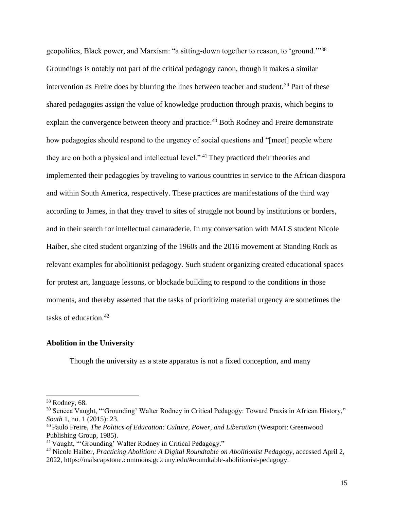geopolitics, Black power, and Marxism: "a sitting-down together to reason, to 'ground.'"<sup>38</sup> Groundings is notably not part of the critical pedagogy canon, though it makes a similar intervention as Freire does by blurring the lines between teacher and student.<sup>39</sup> Part of these shared pedagogies assign the value of knowledge production through praxis, which begins to explain the convergence between theory and practice.<sup>40</sup> Both Rodney and Freire demonstrate how pedagogies should respond to the urgency of social questions and "[meet] people where they are on both a physical and intellectual level." <sup>41</sup> They practiced their theories and implemented their pedagogies by traveling to various countries in service to the African diaspora and within South America, respectively. These practices are manifestations of the third way according to James, in that they travel to sites of struggle not bound by institutions or borders, and in their search for intellectual camaraderie. In my conversation with MALS student Nicole Haiber, she cited student organizing of the 1960s and the 2016 movement at Standing Rock as relevant examples for abolitionist pedagogy. Such student organizing created educational spaces for protest art, language lessons, or blockade building to respond to the conditions in those moments, and thereby asserted that the tasks of prioritizing material urgency are sometimes the tasks of education.<sup>42</sup>

### **Abolition in the University**

Though the university as a state apparatus is not a fixed conception, and many

<sup>38</sup> Rodney, 68.

<sup>&</sup>lt;sup>39</sup> Seneca Vaught, "'Grounding' Walter Rodney in Critical Pedagogy: Toward Praxis in African History," *South* 1, no. 1 (2015): 23.

<sup>40</sup> Paulo Freire, *The Politics of Education: Culture, Power, and Liberation* (Westport: Greenwood Publishing Group, 1985).

<sup>41</sup> Vaught, "'Grounding' Walter Rodney in Critical Pedagogy."

<sup>42</sup> Nicole Haiber, *Practicing Abolition: A Digital Roundtable on Abolitionist Pedagogy*, accessed April 2, 2022, https://malscapstone.commons.gc.cuny.edu/#roundtable-abolitionist-pedagogy.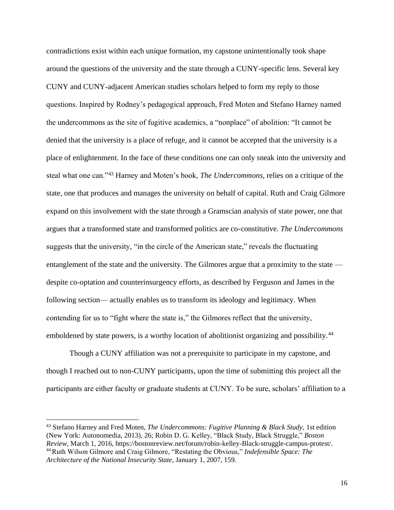contradictions exist within each unique formation, my capstone unintentionally took shape around the questions of the university and the state through a CUNY-specific lens. Several key CUNY and CUNY-adjacent American studies scholars helped to form my reply to those questions. Inspired by Rodney's pedagogical approach, Fred Moten and Stefano Harney named the undercommons as the site of fugitive academics, a "nonplace" of abolition: "It cannot be denied that the university is a place of refuge, and it cannot be accepted that the university is a place of enlightenment. In the face of these conditions one can only sneak into the university and steal what one can."<sup>43</sup> Harney and Moten's book, *The Undercommons,* relies on a critique of the state, one that produces and manages the university on behalf of capital. Ruth and Craig Gilmore expand on this involvement with the state through a Gramscian analysis of state power, one that argues that a transformed state and transformed politics are co-constitutive. *The Undercommons*  suggests that the university, "in the circle of the American state," reveals the fluctuating entanglement of the state and the university. The Gilmores argue that a proximity to the state despite co-optation and counterinsurgency efforts, as described by Ferguson and James in the following section— actually enables us to transform its ideology and legitimacy. When contending for us to "fight where the state is," the Gilmores reflect that the university, emboldened by state powers, is a worthy location of abolitionist organizing and possibility.<sup>44</sup>

Though a CUNY affiliation was not a prerequisite to participate in my capstone, and though I reached out to non-CUNY participants, upon the time of submitting this project all the participants are either faculty or graduate students at CUNY. To be sure, scholars' affiliation to a

<sup>43</sup> Stefano Harney and Fred Moten, *The Undercommons: Fugitive Planning & Black Study*, 1st edition (New York: Autonomedia, 2013), 26; Robin D. G. Kelley, "Black Study, Black Struggle," *Boston Review*, March 1, 2016, https://bostonreview.net/forum/robin-kelley-Black-struggle-campus-protest/. <sup>44</sup>Ruth Wilson Gilmore and Craig Gilmore, "Restating the Obvious," *Indefensible Space: The Architecture of the National Insecurity State*, January 1, 2007, 159.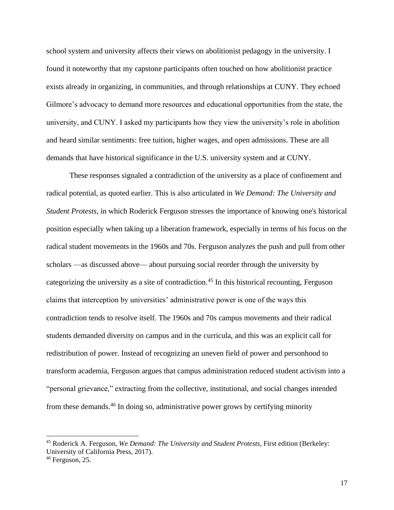school system and university affects their views on abolitionist pedagogy in the university. I found it noteworthy that my capstone participants often touched on how abolitionist practice exists already in organizing, in communities, and through relationships at CUNY. They echoed Gilmore's advocacy to demand more resources and educational opportunities from the state, the university, and CUNY. I asked my participants how they view the university's role in abolition and heard similar sentiments: free tuition, higher wages, and open admissions. These are all demands that have historical significance in the U.S. university system and at CUNY.

These responses signaled a contradiction of the university as a place of confinement and radical potential, as quoted earlier. This is also articulated in *We Demand: The University and Student Protests*, in which Roderick Ferguson stresses the importance of knowing one's historical position especially when taking up a liberation framework, especially in terms of his focus on the radical student movements in the 1960s and 70s. Ferguson analyzes the push and pull from other scholars —as discussed above— about pursuing social reorder through the university by categorizing the university as a site of contradiction.<sup>45</sup> In this historical recounting, Ferguson claims that interception by universities' administrative power is one of the ways this contradiction tends to resolve itself. The 1960s and 70s campus movements and their radical students demanded diversity on campus and in the curricula, and this was an explicit call for redistribution of power. Instead of recognizing an uneven field of power and personhood to transform academia, Ferguson argues that campus administration reduced student activism into a "personal grievance," extracting from the collective, institutional, and social changes intended from these demands.<sup>46</sup> In doing so, administrative power grows by certifying minority

<sup>45</sup> Roderick A. Ferguson, *We Demand: The University and Student Protests*, First edition (Berkeley: University of California Press, 2017).

 $46$  Ferguson, 25.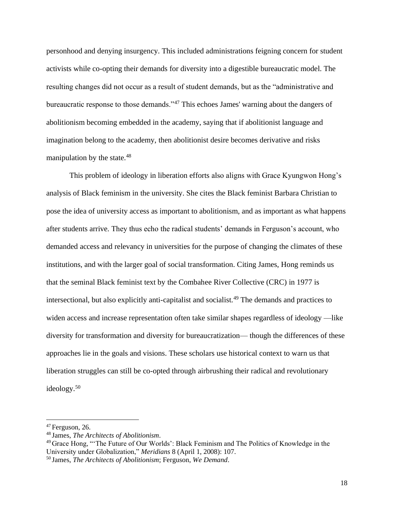personhood and denying insurgency. This included administrations feigning concern for student activists while co-opting their demands for diversity into a digestible bureaucratic model. The resulting changes did not occur as a result of student demands, but as the "administrative and bureaucratic response to those demands."<sup>47</sup> This echoes James' warning about the dangers of abolitionism becoming embedded in the academy, saying that if abolitionist language and imagination belong to the academy, then abolitionist desire becomes derivative and risks manipulation by the state.<sup>48</sup>

This problem of ideology in liberation efforts also aligns with Grace Kyungwon Hong's analysis of Black feminism in the university. She cites the Black feminist Barbara Christian to pose the idea of university access as important to abolitionism, and as important as what happens after students arrive. They thus echo the radical students' demands in Ferguson's account, who demanded access and relevancy in universities for the purpose of changing the climates of these institutions, and with the larger goal of social transformation. Citing James, Hong reminds us that the seminal Black feminist text by the Combahee River Collective (CRC) in 1977 is intersectional, but also explicitly anti-capitalist and socialist.<sup>49</sup> The demands and practices to widen access and increase representation often take similar shapes regardless of ideology —like diversity for transformation and diversity for bureaucratization— though the differences of these approaches lie in the goals and visions. These scholars use historical context to warn us that liberation struggles can still be co-opted through airbrushing their radical and revolutionary ideology.<sup>50</sup>

 $47$  Ferguson, 26.

<sup>48</sup> James, *The Architects of Abolitionism*.

<sup>&</sup>lt;sup>49</sup> Grace Hong, "The Future of Our Worlds': Black Feminism and The Politics of Knowledge in the University under Globalization," *Meridians* 8 (April 1, 2008): 107.

<sup>50</sup> James, *The Architects of Abolitionism*; Ferguson, *We Demand*.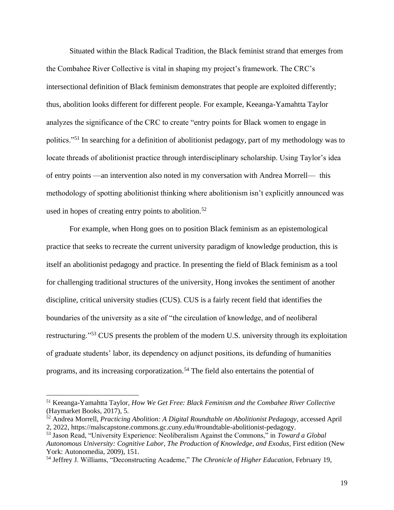Situated within the Black Radical Tradition, the Black feminist strand that emerges from the Combahee River Collective is vital in shaping my project's framework. The CRC's intersectional definition of Black feminism demonstrates that people are exploited differently; thus, abolition looks different for different people. For example, Keeanga-Yamahtta Taylor analyzes the significance of the CRC to create "entry points for Black women to engage in politics."<sup>51</sup> In searching for a definition of abolitionist pedagogy, part of my methodology was to locate threads of abolitionist practice through interdisciplinary scholarship. Using Taylor's idea of entry points —an intervention also noted in my conversation with Andrea Morrell— this methodology of spotting abolitionist thinking where abolitionism isn't explicitly announced was used in hopes of creating entry points to abolition.<sup>52</sup>

For example, when Hong goes on to position Black feminism as an epistemological practice that seeks to recreate the current university paradigm of knowledge production, this is itself an abolitionist pedagogy and practice. In presenting the field of Black feminism as a tool for challenging traditional structures of the university, Hong invokes the sentiment of another discipline, critical university studies (CUS). CUS is a fairly recent field that identifies the boundaries of the university as a site of "the circulation of knowledge, and of neoliberal restructuring."<sup>53</sup> CUS presents the problem of the modern U.S. university through its exploitation of graduate students' labor, its dependency on adjunct positions, its defunding of humanities programs, and its increasing corporatization.<sup>54</sup> The field also entertains the potential of

<sup>51</sup> Keeanga-Yamahtta Taylor, *How We Get Free: Black Feminism and the Combahee River Collective* (Haymarket Books, 2017), 5.

<sup>52</sup> Andrea Morrell, *Practicing Abolition: A Digital Roundtable on Abolitionist Pedagogy*, accessed April 2, 2022, https://malscapstone.commons.gc.cuny.edu/#roundtable-abolitionist-pedagogy.

<sup>53</sup> Jason Read, "University Experience: Neoliberalism Against the Commons," in *Toward a Global Autonomous University: Cognitive Labor, The Production of Knowledge, and Exodus*, First edition (New York: Autonomedia, 2009), 151.

<sup>54</sup> Jeffrey J. Williams, "Deconstructing Academe," *The Chronicle of Higher Education*, February 19,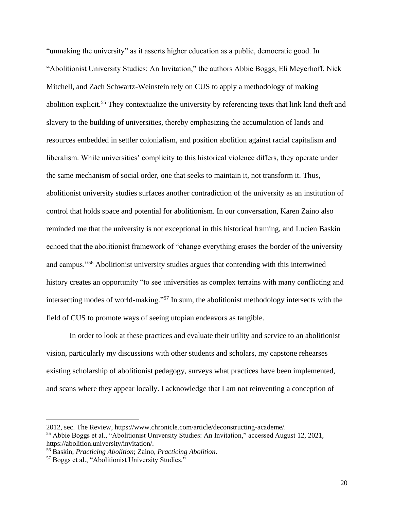"unmaking the university" as it asserts higher education as a public, democratic good. In "Abolitionist University Studies: An Invitation," the authors Abbie Boggs, Eli Meyerhoff, Nick Mitchell, and Zach Schwartz-Weinstein rely on CUS to apply a methodology of making abolition explicit.<sup>55</sup> They contextualize the university by referencing texts that link land theft and slavery to the building of universities, thereby emphasizing the accumulation of lands and resources embedded in settler colonialism, and position abolition against racial capitalism and liberalism. While universities' complicity to this historical violence differs, they operate under the same mechanism of social order, one that seeks to maintain it, not transform it. Thus, abolitionist university studies surfaces another contradiction of the university as an institution of control that holds space and potential for abolitionism. In our conversation, Karen Zaino also reminded me that the university is not exceptional in this historical framing, and Lucien Baskin echoed that the abolitionist framework of "change everything erases the border of the university and campus."<sup>56</sup> Abolitionist university studies argues that contending with this intertwined history creates an opportunity "to see universities as complex terrains with many conflicting and intersecting modes of world-making."<sup>57</sup> In sum, the abolitionist methodology intersects with the field of CUS to promote ways of seeing utopian endeavors as tangible.

In order to look at these practices and evaluate their utility and service to an abolitionist vision, particularly my discussions with other students and scholars, my capstone rehearses existing scholarship of abolitionist pedagogy, surveys what practices have been implemented, and scans where they appear locally. I acknowledge that I am not reinventing a conception of

20

<sup>2012,</sup> sec. The Review, https://www.chronicle.com/article/deconstructing-academe/.

<sup>55</sup> Abbie Boggs et al., "Abolitionist University Studies: An Invitation," accessed August 12, 2021, https://abolition.university/invitation/.

<sup>56</sup> Baskin, *Practicing Abolition*; Zaino, *Practicing Abolition*.

<sup>57</sup> Boggs et al., "Abolitionist University Studies."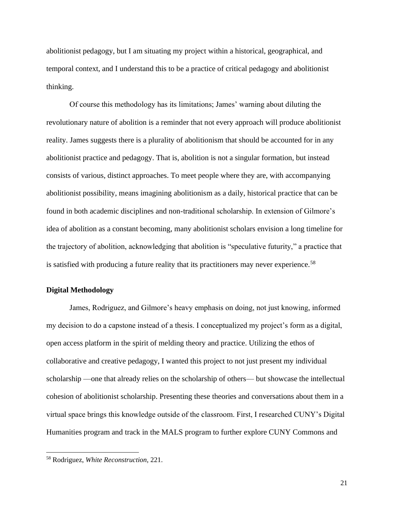abolitionist pedagogy, but I am situating my project within a historical, geographical, and temporal context, and I understand this to be a practice of critical pedagogy and abolitionist thinking.

Of course this methodology has its limitations; James' warning about diluting the revolutionary nature of abolition is a reminder that not every approach will produce abolitionist reality. James suggests there is a plurality of abolitionism that should be accounted for in any abolitionist practice and pedagogy. That is, abolition is not a singular formation, but instead consists of various, distinct approaches. To meet people where they are, with accompanying abolitionist possibility, means imagining abolitionism as a daily, historical practice that can be found in both academic disciplines and non-traditional scholarship. In extension of Gilmore's idea of abolition as a constant becoming, many abolitionist scholars envision a long timeline for the trajectory of abolition, acknowledging that abolition is "speculative futurity," a practice that is satisfied with producing a future reality that its practitioners may never experience.<sup>58</sup>

#### **Digital Methodology**

James, Rodriguez, and Gilmore's heavy emphasis on doing, not just knowing, informed my decision to do a capstone instead of a thesis. I conceptualized my project's form as a digital, open access platform in the spirit of melding theory and practice. Utilizing the ethos of collaborative and creative pedagogy, I wanted this project to not just present my individual scholarship —one that already relies on the scholarship of others— but showcase the intellectual cohesion of abolitionist scholarship. Presenting these theories and conversations about them in a virtual space brings this knowledge outside of the classroom. First, I researched CUNY's Digital Humanities program and track in the MALS program to further explore CUNY Commons and

21

<sup>58</sup> Rodriguez, *White Reconstruction*, 221.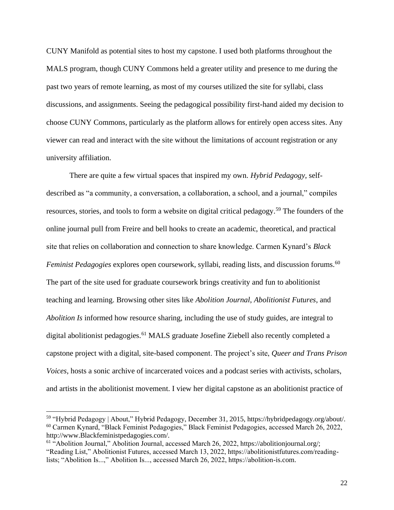CUNY Manifold as potential sites to host my capstone. I used both platforms throughout the MALS program, though CUNY Commons held a greater utility and presence to me during the past two years of remote learning, as most of my courses utilized the site for syllabi, class discussions, and assignments. Seeing the pedagogical possibility first-hand aided my decision to choose CUNY Commons, particularly as the platform allows for entirely open access sites. Any viewer can read and interact with the site without the limitations of account registration or any university affiliation.

There are quite a few virtual spaces that inspired my own. *Hybrid Pedagogy*, selfdescribed as "a community, a conversation, a collaboration, a school, and a journal," compiles resources, stories, and tools to form a website on digital critical pedagogy.<sup>59</sup> The founders of the online journal pull from Freire and bell hooks to create an academic, theoretical, and practical site that relies on collaboration and connection to share knowledge. Carmen Kynard's *Black Feminist Pedagogies* explores open coursework, syllabi, reading lists, and discussion forums.<sup>60</sup> The part of the site used for graduate coursework brings creativity and fun to abolitionist teaching and learning. Browsing other sites like *Abolition Journal*, *Abolitionist Futures*, and *Abolition Is* informed how resource sharing, including the use of study guides, are integral to digital abolitionist pedagogies.<sup>61</sup> MALS graduate Josefine Ziebell also recently completed a capstone project with a digital, site-based component. The project's site, *Queer and Trans Prison Voices*, hosts a sonic archive of incarcerated voices and a podcast series with activists, scholars, and artists in the abolitionist movement. I view her digital capstone as an abolitionist practice of

<sup>59</sup> "Hybrid Pedagogy | About," Hybrid Pedagogy, December 31, 2015, https://hybridpedagogy.org/about/. <sup>60</sup> Carmen Kynard, "Black Feminist Pedagogies," Black Feminist Pedagogies, accessed March 26, 2022, http://www.Blackfeministpedagogies.com/.

<sup>&</sup>lt;sup>61</sup> "Abolition Journal," Abolition Journal, accessed March 26, 2022, https://abolitionjournal.org/; "Reading List," Abolitionist Futures, accessed March 13, 2022, https://abolitionistfutures.com/readinglists; "Abolition Is...," Abolition Is..., accessed March 26, 2022, https://abolition-is.com.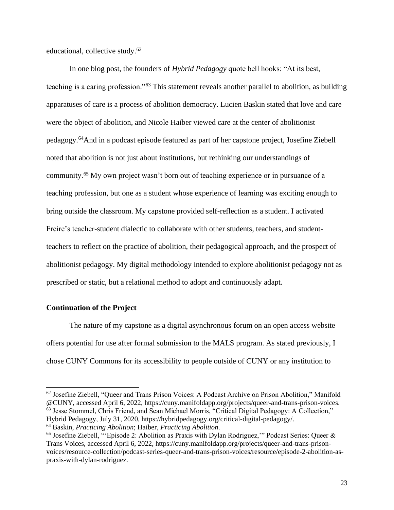educational, collective study.<sup>62</sup>

In one blog post, the founders of *Hybrid Pedagogy* quote bell hooks: "At its best, teaching is a caring profession."<sup>63</sup> This statement reveals another parallel to abolition, as building apparatuses of care is a process of abolition democracy. Lucien Baskin stated that love and care were the object of abolition, and Nicole Haiber viewed care at the center of abolitionist pedagogy.<sup>64</sup>And in a podcast episode featured as part of her capstone project, Josefine Ziebell noted that abolition is not just about institutions, but rethinking our understandings of community.<sup>65</sup> My own project wasn't born out of teaching experience or in pursuance of a teaching profession, but one as a student whose experience of learning was exciting enough to bring outside the classroom. My capstone provided self-reflection as a student. I activated Freire's teacher-student dialectic to collaborate with other students, teachers, and studentteachers to reflect on the practice of abolition, their pedagogical approach, and the prospect of abolitionist pedagogy. My digital methodology intended to explore abolitionist pedagogy not as prescribed or static, but a relational method to adopt and continuously adapt.

#### **Continuation of the Project**

The nature of my capstone as a digital asynchronous forum on an open access website offers potential for use after formal submission to the MALS program. As stated previously, I chose CUNY Commons for its accessibility to people outside of CUNY or any institution to

<sup>62</sup> Josefine Ziebell, "Queer and Trans Prison Voices: A Podcast Archive on Prison Abolition," Manifold @CUNY, accessed April 6, 2022, https://cuny.manifoldapp.org/projects/queer-and-trans-prison-voices. <sup>63</sup> Jesse Stommel, Chris Friend, and Sean Michael Morris, "Critical Digital Pedagogy: A Collection," Hybrid Pedagogy, July 31, 2020, https://hybridpedagogy.org/critical-digital-pedagogy/.

<sup>64</sup> Baskin, *Practicing Abolition*; Haiber, *Practicing Abolition*.

<sup>65</sup> Josefine Ziebell, "'Episode 2: Abolition as Praxis with Dylan Rodriguez,'" Podcast Series: Queer & Trans Voices, accessed April 6, 2022, https://cuny.manifoldapp.org/projects/queer-and-trans-prisonvoices/resource-collection/podcast-series-queer-and-trans-prison-voices/resource/episode-2-abolition-aspraxis-with-dylan-rodriguez.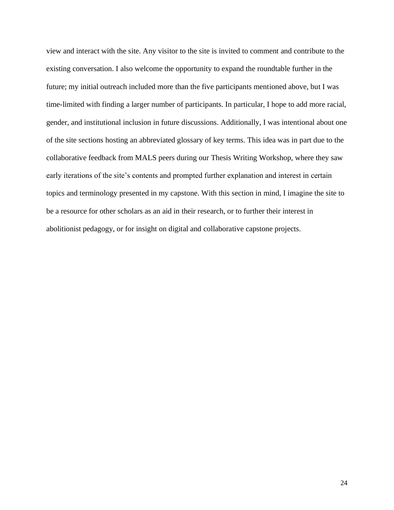view and interact with the site. Any visitor to the site is invited to comment and contribute to the existing conversation. I also welcome the opportunity to expand the roundtable further in the future; my initial outreach included more than the five participants mentioned above, but I was time-limited with finding a larger number of participants. In particular, I hope to add more racial, gender, and institutional inclusion in future discussions. Additionally, I was intentional about one of the site sections hosting an abbreviated glossary of key terms. This idea was in part due to the collaborative feedback from MALS peers during our Thesis Writing Workshop, where they saw early iterations of the site's contents and prompted further explanation and interest in certain topics and terminology presented in my capstone. With this section in mind, I imagine the site to be a resource for other scholars as an aid in their research, or to further their interest in abolitionist pedagogy, or for insight on digital and collaborative capstone projects.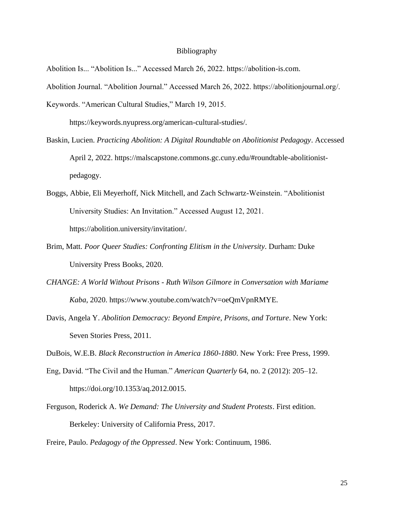#### Bibliography

Abolition Is... "Abolition Is..." Accessed March 26, 2022. https://abolition-is.com.

Abolition Journal. "Abolition Journal." Accessed March 26, 2022. https://abolitionjournal.org/.

Keywords. "American Cultural Studies," March 19, 2015.

https://keywords.nyupress.org/american-cultural-studies/.

- Baskin, Lucien. *Practicing Abolition: A Digital Roundtable on Abolitionist Pedagogy*. Accessed April 2, 2022. https://malscapstone.commons.gc.cuny.edu/#roundtable-abolitionistpedagogy.
- Boggs, Abbie, Eli Meyerhoff, Nick Mitchell, and Zach Schwartz-Weinstein. "Abolitionist University Studies: An Invitation." Accessed August 12, 2021. https://abolition.university/invitation/.
- Brim, Matt. *Poor Queer Studies: Confronting Elitism in the University*. Durham: Duke University Press Books, 2020.
- *CHANGE: A World Without Prisons - Ruth Wilson Gilmore in Conversation with Mariame Kaba*, 2020. https://www.youtube.com/watch?v=oeQmVpnRMYE.
- Davis, Angela Y. *Abolition Democracy: Beyond Empire, Prisons, and Torture*. New York: Seven Stories Press, 2011.

DuBois, W.E.B. *Black Reconstruction in America 1860-1880*. New York: Free Press, 1999.

- Eng, David. "The Civil and the Human." *American Quarterly* 64, no. 2 (2012): 205–12. https://doi.org/10.1353/aq.2012.0015.
- Ferguson, Roderick A. *We Demand: The University and Student Protests*. First edition. Berkeley: University of California Press, 2017.

Freire, Paulo. *Pedagogy of the Oppressed*. New York: Continuum, 1986.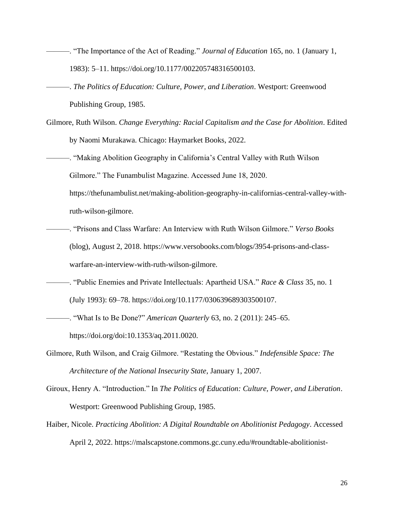- ———. "The Importance of the Act of Reading." *Journal of Education* 165, no. 1 (January 1, 1983): 5–11. https://doi.org/10.1177/002205748316500103.
- ———. *The Politics of Education: Culture, Power, and Liberation*. Westport: Greenwood Publishing Group, 1985.
- Gilmore, Ruth Wilson. *Change Everything: Racial Capitalism and the Case for Abolition*. Edited by Naomi Murakawa. Chicago: Haymarket Books, 2022.
- ———. "Making Abolition Geography in California's Central Valley with Ruth Wilson Gilmore." The Funambulist Magazine. Accessed June 18, 2020.

https://thefunambulist.net/making-abolition-geography-in-californias-central-valley-withruth-wilson-gilmore.

- ———. "Prisons and Class Warfare: An Interview with Ruth Wilson Gilmore." *Verso Books* (blog), August 2, 2018. https://www.versobooks.com/blogs/3954-prisons-and-classwarfare-an-interview-with-ruth-wilson-gilmore.
- ———. "Public Enemies and Private Intellectuals: Apartheid USA." *Race & Class* 35, no. 1 (July 1993): 69–78. https://doi.org/10.1177/030639689303500107.
- ———. "What Is to Be Done?" *American Quarterly* 63, no. 2 (2011): 245–65. https://doi.org/doi:10.1353/aq.2011.0020.
- Gilmore, Ruth Wilson, and Craig Gilmore. "Restating the Obvious." *Indefensible Space: The Architecture of the National Insecurity State*, January 1, 2007.
- Giroux, Henry A. "Introduction." In *The Politics of Education: Culture, Power, and Liberation*. Westport: Greenwood Publishing Group, 1985.
- Haiber, Nicole. *Practicing Abolition: A Digital Roundtable on Abolitionist Pedagogy*. Accessed April 2, 2022. https://malscapstone.commons.gc.cuny.edu/#roundtable-abolitionist-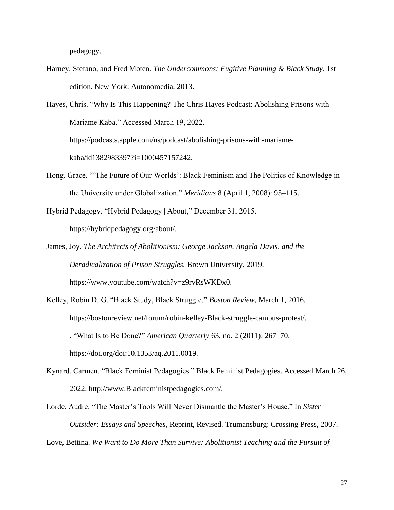pedagogy.

Harney, Stefano, and Fred Moten. *The Undercommons: Fugitive Planning & Black Study*. 1st edition. New York: Autonomedia, 2013.

Hayes, Chris. "Why Is This Happening? The Chris Hayes Podcast: Abolishing Prisons with Mariame Kaba." Accessed March 19, 2022. https://podcasts.apple.com/us/podcast/abolishing-prisons-with-mariamekaba/id1382983397?i=1000457157242.

Hong, Grace. "'The Future of Our Worlds': Black Feminism and The Politics of Knowledge in the University under Globalization." *Meridians* 8 (April 1, 2008): 95–115.

Hybrid Pedagogy. "Hybrid Pedagogy | About," December 31, 2015. https://hybridpedagogy.org/about/.

- James, Joy. *The Architects of Abolitionism: George Jackson, Angela Davis, and the Deradicalization of Prison Struggles.* Brown University, 2019. https://www.youtube.com/watch?v=z9rvRsWKDx0.
- Kelley, Robin D. G. "Black Study, Black Struggle." *Boston Review*, March 1, 2016. https://bostonreview.net/forum/robin-kelley-Black-struggle-campus-protest/. ———. "What Is to Be Done?" *American Quarterly* 63, no. 2 (2011): 267–70. https://doi.org/doi:10.1353/aq.2011.0019.
- Kynard, Carmen. "Black Feminist Pedagogies." Black Feminist Pedagogies. Accessed March 26, 2022. http://www.Blackfeministpedagogies.com/.
- Lorde, Audre. "The Master's Tools Will Never Dismantle the Master's House." In *Sister Outsider: Essays and Speeches*, Reprint, Revised. Trumansburg: Crossing Press, 2007.

Love, Bettina. *We Want to Do More Than Survive: Abolitionist Teaching and the Pursuit of*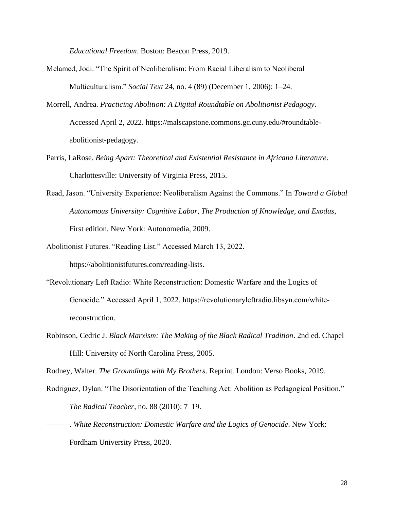*Educational Freedom*. Boston: Beacon Press, 2019.

- Melamed, Jodi. "The Spirit of Neoliberalism: From Racial Liberalism to Neoliberal Multiculturalism." *Social Text* 24, no. 4 (89) (December 1, 2006): 1–24.
- Morrell, Andrea. *Practicing Abolition: A Digital Roundtable on Abolitionist Pedagogy*. Accessed April 2, 2022. https://malscapstone.commons.gc.cuny.edu/#roundtableabolitionist-pedagogy.
- Parris, LaRose. *Being Apart: Theoretical and Existential Resistance in Africana Literature*. Charlottesville: University of Virginia Press, 2015.
- Read, Jason. "University Experience: Neoliberalism Against the Commons." In *Toward a Global Autonomous University: Cognitive Labor, The Production of Knowledge, and Exodus*, First edition. New York: Autonomedia, 2009.
- Abolitionist Futures. "Reading List." Accessed March 13, 2022. https://abolitionistfutures.com/reading-lists.
- "Revolutionary Left Radio: White Reconstruction: Domestic Warfare and the Logics of Genocide." Accessed April 1, 2022. https://revolutionaryleftradio.libsyn.com/whitereconstruction.
- Robinson, Cedric J. *Black Marxism: The Making of the Black Radical Tradition*. 2nd ed. Chapel Hill: University of North Carolina Press, 2005.

Rodney, Walter. *The Groundings with My Brothers*. Reprint. London: Verso Books, 2019.

- Rodriguez, Dylan. "The Disorientation of the Teaching Act: Abolition as Pedagogical Position." *The Radical Teacher*, no. 88 (2010): 7–19.
- ———. *White Reconstruction: Domestic Warfare and the Logics of Genocide*. New York: Fordham University Press, 2020.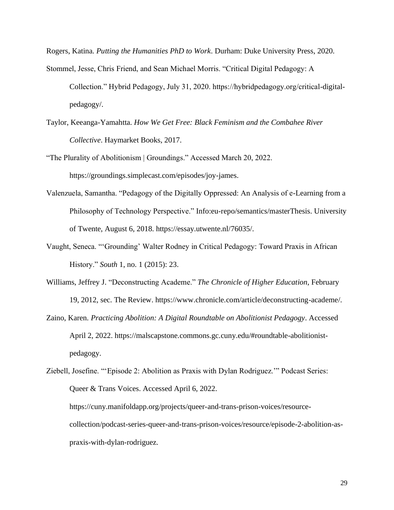Rogers, Katina. *Putting the Humanities PhD to Work*. Durham: Duke University Press, 2020.

- Stommel, Jesse, Chris Friend, and Sean Michael Morris. "Critical Digital Pedagogy: A Collection." Hybrid Pedagogy, July 31, 2020. https://hybridpedagogy.org/critical-digitalpedagogy/.
- Taylor, Keeanga-Yamahtta. *How We Get Free: Black Feminism and the Combahee River Collective*. Haymarket Books, 2017.
- "The Plurality of Abolitionism | Groundings." Accessed March 20, 2022. https://groundings.simplecast.com/episodes/joy-james.
- Valenzuela, Samantha. "Pedagogy of the Digitally Oppressed: An Analysis of e-Learning from a Philosophy of Technology Perspective." Info:eu-repo/semantics/masterThesis. University of Twente, August 6, 2018. https://essay.utwente.nl/76035/.
- Vaught, Seneca. "'Grounding' Walter Rodney in Critical Pedagogy: Toward Praxis in African History." *South* 1, no. 1 (2015): 23.
- Williams, Jeffrey J. "Deconstructing Academe." *The Chronicle of Higher Education*, February 19, 2012, sec. The Review. https://www.chronicle.com/article/deconstructing-academe/.
- Zaino, Karen. *Practicing Abolition: A Digital Roundtable on Abolitionist Pedagogy*. Accessed April 2, 2022. https://malscapstone.commons.gc.cuny.edu/#roundtable-abolitionistpedagogy.

```
Ziebell, Josefine. "'Episode 2: Abolition as Praxis with Dylan Rodriguez.'" Podcast Series: 
Queer & Trans Voices. Accessed April 6, 2022. 
https://cuny.manifoldapp.org/projects/queer-and-trans-prison-voices/resource-
collection/podcast-series-queer-and-trans-prison-voices/resource/episode-2-abolition-as-
```
praxis-with-dylan-rodriguez.